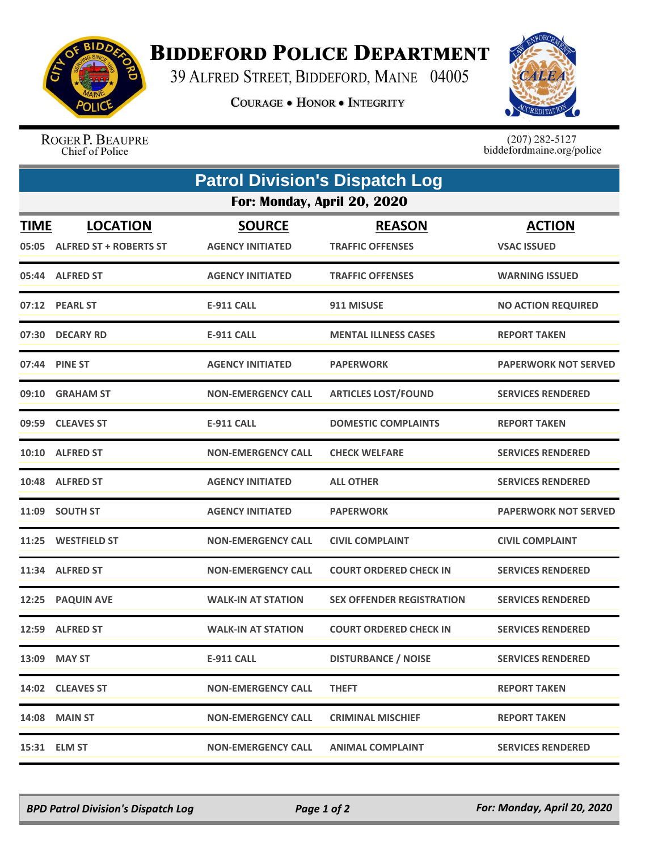

## **BIDDEFORD POLICE DEPARTMENT**

39 ALFRED STREET, BIDDEFORD, MAINE 04005

**COURAGE . HONOR . INTEGRITY** 



ROGER P. BEAUPRE Chief of Police

 $(207)$  282-5127<br>biddefordmaine.org/police

| <b>Patrol Division's Dispatch Log</b> |                                                  |                                          |                                          |                                     |  |  |
|---------------------------------------|--------------------------------------------------|------------------------------------------|------------------------------------------|-------------------------------------|--|--|
| For: Monday, April 20, 2020           |                                                  |                                          |                                          |                                     |  |  |
| <b>TIME</b><br>05:05                  | <b>LOCATION</b><br><b>ALFRED ST + ROBERTS ST</b> | <b>SOURCE</b><br><b>AGENCY INITIATED</b> | <b>REASON</b><br><b>TRAFFIC OFFENSES</b> | <b>ACTION</b><br><b>VSAC ISSUED</b> |  |  |
|                                       | 05:44 ALFRED ST                                  | <b>AGENCY INITIATED</b>                  | <b>TRAFFIC OFFENSES</b>                  | <b>WARNING ISSUED</b>               |  |  |
|                                       | 07:12 PEARL ST                                   | <b>E-911 CALL</b>                        | 911 MISUSE                               | <b>NO ACTION REQUIRED</b>           |  |  |
| 07:30                                 | <b>DECARY RD</b>                                 | <b>E-911 CALL</b>                        | <b>MENTAL ILLNESS CASES</b>              | <b>REPORT TAKEN</b>                 |  |  |
| 07:44                                 | <b>PINE ST</b>                                   | <b>AGENCY INITIATED</b>                  | <b>PAPERWORK</b>                         | <b>PAPERWORK NOT SERVED</b>         |  |  |
| 09:10                                 | <b>GRAHAM ST</b>                                 | <b>NON-EMERGENCY CALL</b>                | <b>ARTICLES LOST/FOUND</b>               | <b>SERVICES RENDERED</b>            |  |  |
| 09:59                                 | <b>CLEAVES ST</b>                                | <b>E-911 CALL</b>                        | <b>DOMESTIC COMPLAINTS</b>               | <b>REPORT TAKEN</b>                 |  |  |
| 10:10                                 | <b>ALFRED ST</b>                                 | <b>NON-EMERGENCY CALL</b>                | <b>CHECK WELFARE</b>                     | <b>SERVICES RENDERED</b>            |  |  |
|                                       | 10:48 ALFRED ST                                  | <b>AGENCY INITIATED</b>                  | <b>ALL OTHER</b>                         | <b>SERVICES RENDERED</b>            |  |  |
| 11:09                                 | <b>SOUTH ST</b>                                  | <b>AGENCY INITIATED</b>                  | <b>PAPERWORK</b>                         | <b>PAPERWORK NOT SERVED</b>         |  |  |
|                                       | 11:25 WESTFIELD ST                               | <b>NON-EMERGENCY CALL</b>                | <b>CIVIL COMPLAINT</b>                   | <b>CIVIL COMPLAINT</b>              |  |  |
| 11:34                                 | <b>ALFRED ST</b>                                 | <b>NON-EMERGENCY CALL</b>                | <b>COURT ORDERED CHECK IN</b>            | <b>SERVICES RENDERED</b>            |  |  |
| 12:25                                 | <b>PAQUIN AVE</b>                                | <b>WALK-IN AT STATION</b>                | <b>SEX OFFENDER REGISTRATION</b>         | <b>SERVICES RENDERED</b>            |  |  |
|                                       | 12:59 ALFRED ST                                  | <b>WALK-IN AT STATION</b>                | <b>COURT ORDERED CHECK IN</b>            | <b>SERVICES RENDERED</b>            |  |  |
|                                       | 13:09 MAY ST                                     | <b>E-911 CALL</b>                        | <b>DISTURBANCE / NOISE</b>               | <b>SERVICES RENDERED</b>            |  |  |
|                                       | 14:02 CLEAVES ST                                 | <b>NON-EMERGENCY CALL</b>                | <b>THEFT</b>                             | <b>REPORT TAKEN</b>                 |  |  |
|                                       | <b>14:08 MAIN ST</b>                             | <b>NON-EMERGENCY CALL</b>                | <b>CRIMINAL MISCHIEF</b>                 | <b>REPORT TAKEN</b>                 |  |  |
|                                       | 15:31 ELM ST                                     | <b>NON-EMERGENCY CALL</b>                | <b>ANIMAL COMPLAINT</b>                  | <b>SERVICES RENDERED</b>            |  |  |